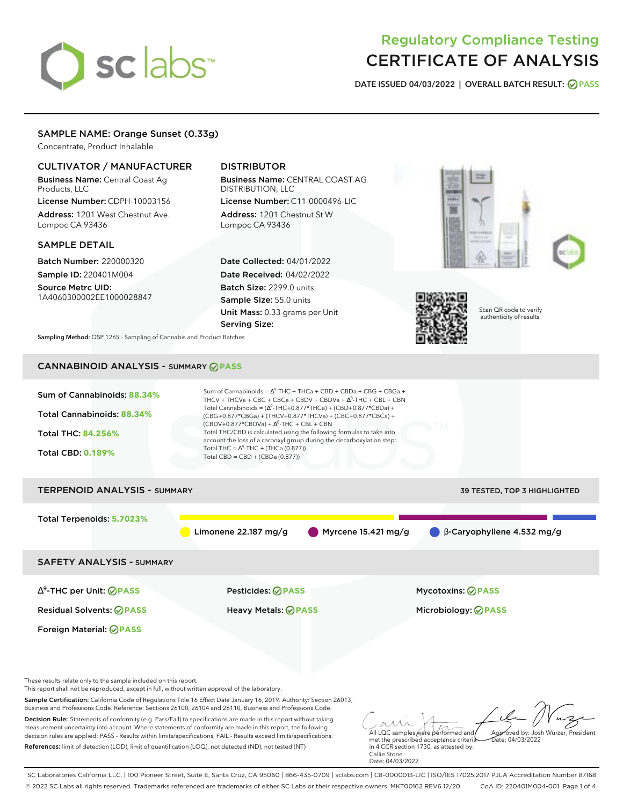# sclabs<sup>\*</sup>

# Regulatory Compliance Testing CERTIFICATE OF ANALYSIS

**DATE ISSUED 04/03/2022 | OVERALL BATCH RESULT: PASS**

# SAMPLE NAME: Orange Sunset (0.33g)

Concentrate, Product Inhalable

# CULTIVATOR / MANUFACTURER

Business Name: Central Coast Ag Products, LLC

License Number: CDPH-10003156 Address: 1201 West Chestnut Ave. Lompoc CA 93436

# SAMPLE DETAIL

Batch Number: 220000320 Sample ID: 220401M004

Source Metrc UID: 1A4060300002EE1000028847

# DISTRIBUTOR

Business Name: CENTRAL COAST AG DISTRIBUTION, LLC License Number: C11-0000496-LIC

Address: 1201 Chestnut St W Lompoc CA 93436

Date Collected: 04/01/2022 Date Received: 04/02/2022 Batch Size: 2299.0 units Sample Size: 55.0 units Unit Mass: 0.33 grams per Unit Serving Size:





Scan QR code to verify authenticity of results.

**Sampling Method:** QSP 1265 - Sampling of Cannabis and Product Batches

# CANNABINOID ANALYSIS - SUMMARY **PASS**

| Sum of Cannabinoids: 88.34%                                                                                                                                                                                                                                                                                                                               | Sum of Cannabinoids = $\Delta^9$ -THC + THCa + CBD + CBDa + CBG + CBGa +<br>THCV + THCVa + CBC + CBCa + CBDV + CBDVa + $\Delta^8$ -THC + CBL + CBN<br>Total Cannabinoids = $(\Delta^9$ -THC+0.877*THCa) + (CBD+0.877*CBDa) + |                                                                            |  |  |  |
|-----------------------------------------------------------------------------------------------------------------------------------------------------------------------------------------------------------------------------------------------------------------------------------------------------------------------------------------------------------|------------------------------------------------------------------------------------------------------------------------------------------------------------------------------------------------------------------------------|----------------------------------------------------------------------------|--|--|--|
| <b>Total Cannabinoids: 88.34%</b>                                                                                                                                                                                                                                                                                                                         | (CBG+0.877*CBGa) + (THCV+0.877*THCVa) + (CBC+0.877*CBCa) +<br>$(CBDV+0.877*CBDVa) + \Delta^8$ -THC + CBL + CBN                                                                                                               |                                                                            |  |  |  |
| <b>Total THC: 84.256%</b>                                                                                                                                                                                                                                                                                                                                 | Total THC/CBD is calculated using the following formulas to take into<br>account the loss of a carboxyl group during the decarboxylation step:                                                                               |                                                                            |  |  |  |
| <b>Total CBD: 0.189%</b>                                                                                                                                                                                                                                                                                                                                  | Total THC = $\Delta^9$ -THC + (THCa (0.877))<br>Total CBD = $CBD + (CBDa (0.877))$                                                                                                                                           |                                                                            |  |  |  |
| <b>TERPENOID ANALYSIS - SUMMARY</b>                                                                                                                                                                                                                                                                                                                       |                                                                                                                                                                                                                              | 39 TESTED, TOP 3 HIGHLIGHTED                                               |  |  |  |
| Total Terpenoids: 5.7023%                                                                                                                                                                                                                                                                                                                                 |                                                                                                                                                                                                                              |                                                                            |  |  |  |
|                                                                                                                                                                                                                                                                                                                                                           | Limonene 22.187 mg/g                                                                                                                                                                                                         | B-Caryophyllene 4.532 mg/g<br>Myrcene $15.421$ mg/g                        |  |  |  |
| <b>SAFETY ANALYSIS - SUMMARY</b>                                                                                                                                                                                                                                                                                                                          |                                                                                                                                                                                                                              |                                                                            |  |  |  |
| $\Delta^9$ -THC per Unit: $\bigcirc$ PASS                                                                                                                                                                                                                                                                                                                 | <b>Pesticides: ⊘ PASS</b>                                                                                                                                                                                                    | <b>Mycotoxins: ⊘PASS</b>                                                   |  |  |  |
| <b>Residual Solvents: ⊘PASS</b>                                                                                                                                                                                                                                                                                                                           | <b>Heavy Metals: ⊘ PASS</b>                                                                                                                                                                                                  | Microbiology: <b>⊘PASS</b>                                                 |  |  |  |
| Foreign Material: <b>⊘ PASS</b>                                                                                                                                                                                                                                                                                                                           |                                                                                                                                                                                                                              |                                                                            |  |  |  |
| These results relate only to the sample included on this report.<br>This report shall not be reproduced, except in full, without written approval of the laboratory.                                                                                                                                                                                      |                                                                                                                                                                                                                              |                                                                            |  |  |  |
| Sample Certification: California Code of Regulations Title 16 Effect Date January 16, 2019. Authority: Section 26013,<br>Business and Professions Code. Reference: Sections 26100, 26104 and 26110, Business and Professions Code.                                                                                                                        |                                                                                                                                                                                                                              |                                                                            |  |  |  |
| Decision Rule: Statements of conformity (e.g. Pass/Fail) to specifications are made in this report without taking<br>measurement uncertainty into account. Where statements of conformity are made in this report, the following<br>decision rules are applied: PASS - Results within limits/specifications, FAIL - Results exceed limits/specifications. |                                                                                                                                                                                                                              | Approved by: Josh Wurzer, President<br>All LQC samples were performed and/ |  |  |  |

References: limit of detection (LOD), limit of quantification (LOQ), not detected (ND), not tested (NT)

All LQC samples were performed and met the prescribed acceptance criteria Approved by: Josh Wurzer, President Date: 04/03/2022 in 4 CCR section 1730, as attested by: Callie Stone Date: 04/03/2022

SC Laboratories California LLC. | 100 Pioneer Street, Suite E, Santa Cruz, CA 95060 | 866-435-0709 | sclabs.com | C8-0000013-LIC | ISO/IES 17025:2017 PJLA Accreditation Number 87168 © 2022 SC Labs all rights reserved. Trademarks referenced are trademarks of either SC Labs or their respective owners. MKT00162 REV6 12/20 CoA ID: 220401M004-001 Page 1 of 4